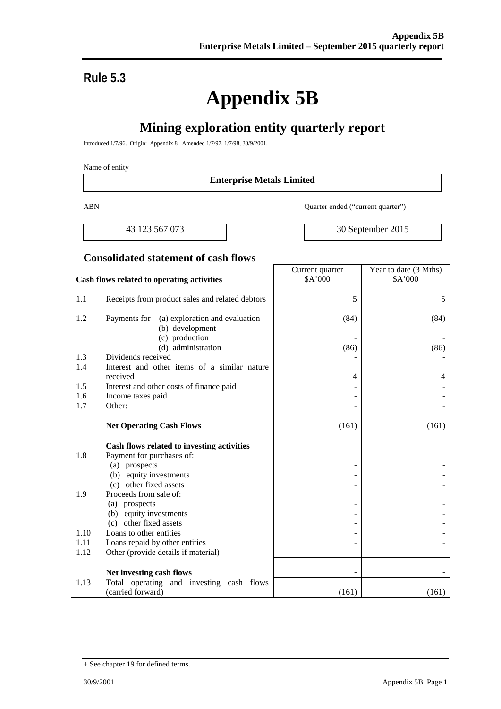Current quarter

# **Rule 5.3**

# **Appendix 5B**

# **Mining exploration entity quarterly report**

Introduced 1/7/96. Origin: Appendix 8. Amended 1/7/97, 1/7/98, 30/9/2001.

#### Name of entity

#### **Enterprise Metals Limited**

ABN Quarter ended ("current quarter")

43 123 567 073 30 September 2015

Year to date (3 Mths)

#### **Consolidated statement of cash flows**

#### **Cash flows related to operating activities** \$A'000 \$A'000 1.1 Receipts from product sales and related debtors 5 5 1.2 Payments for (a) exploration and evaluation (b) development (c) production (d) administration (84) - - (86) (84) - - (86) 1.3 Dividends received 1.4 Interest and other items of a similar nature received  $\begin{array}{ccc} 4 & 4 & 4 \end{array}$ 1.5 Interest and other costs of finance paid  $\overline{\phantom{a}}$  -1.6 Income taxes paid contract the set of the set of the set of the set of the set of the set of the set of the set of the set of the set of the set of the set of the set of the set of the set of the set of the set of the  $1.7$  Other:  $\qquad \qquad$ **Net Operating Cash Flows** (161) (161) (161) **Cash flows related to investing activities** 1.8 Payment for purchases of: (a) prospects (b) equity investments (c) other fixed assets - - - - - - 1.9 Proceeds from sale of: (a) prospects (b) equity investments (c) other fixed assets - - - - - - 1.10 Loans to other entities 1.11 Loans repaid by other entities  $\vert$  -  $\vert$ 1.12 Other (provide details if material) Net investing cash flows 1.13 Total operating and investing cash flows  $(\text{carried forward})$  (161) (161) (161)

<sup>+</sup> See chapter 19 for defined terms.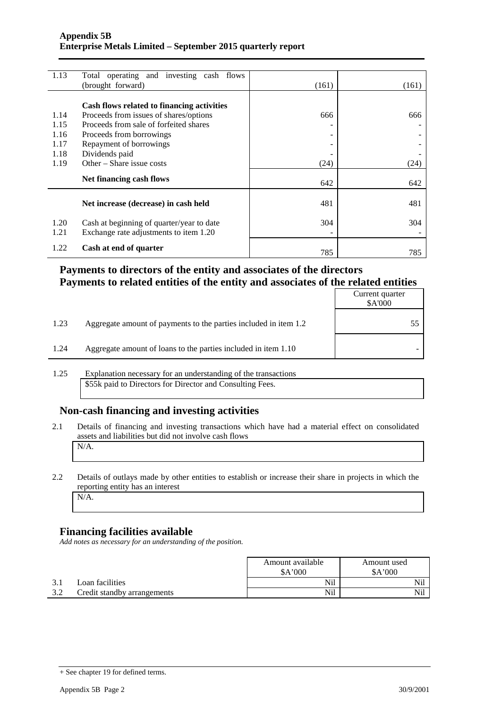| 1.13 | Total operating and investing cash flows   |       |       |
|------|--------------------------------------------|-------|-------|
|      | (brought forward)                          | (161) | (161) |
|      |                                            |       |       |
|      | Cash flows related to financing activities |       |       |
| 1.14 | Proceeds from issues of shares/options     | 666   | 666   |
| 1.15 | Proceeds from sale of forfeited shares     |       |       |
| 1.16 | Proceeds from borrowings                   | ۰     |       |
| 1.17 | Repayment of borrowings                    |       |       |
| 1.18 | Dividends paid                             |       |       |
| 1.19 | Other – Share issue costs                  | (24)  | (24)  |
|      |                                            |       |       |
|      | Net financing cash flows                   | 642   | 642   |
|      |                                            |       |       |
|      | Net increase (decrease) in cash held       | 481   | 481   |
|      |                                            |       |       |
| 1.20 | Cash at beginning of quarter/year to date  | 304   | 304   |
| 1.21 | Exchange rate adjustments to item 1.20     |       |       |
| 1.22 |                                            |       |       |
|      | Cash at end of quarter                     | 785   | 785   |

#### **Payments to directors of the entity and associates of the directors Payments to related entities of the entity and associates of the related entities**

|      |                                                                  | Current quarter<br>\$A'000 |
|------|------------------------------------------------------------------|----------------------------|
| 1.23 | Aggregate amount of payments to the parties included in item 1.2 |                            |
| 1.24 | Aggregate amount of loans to the parties included in item 1.10   |                            |

1.25 Explanation necessary for an understanding of the transactions \$55k paid to Directors for Director and Consulting Fees.

### **Non-cash financing and investing activities**

2.1 Details of financing and investing transactions which have had a material effect on consolidated assets and liabilities but did not involve cash flows N/A.

## 2.2 Details of outlays made by other entities to establish or increase their share in projects in which the reporting entity has an interest

#### N/A.

#### **Financing facilities available**

*Add notes as necessary for an understanding of the position.*

|                             | Amount available<br>A'000 | Amount used<br>A'000 |  |
|-----------------------------|---------------------------|----------------------|--|
| Loan facilities             | Nil                       | Nil                  |  |
| Credit standby arrangements | Nil                       | Nil                  |  |

<sup>+</sup> See chapter 19 for defined terms.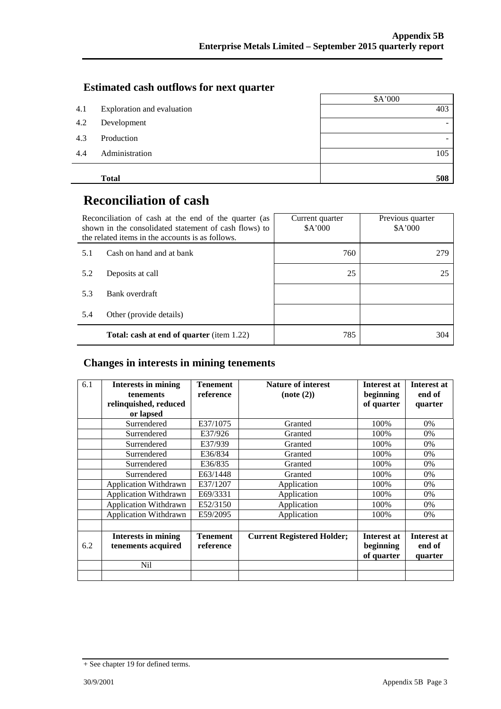#### **Estimated cash outflows for next quarter**

|     |                            | \$A'000 |
|-----|----------------------------|---------|
| 4.1 | Exploration and evaluation | 403     |
| 4.2 | Development                |         |
| 4.3 | Production                 |         |
| 4.4 | Administration             | 105     |
|     | <b>Total</b>               | 508     |

# **Reconciliation of cash**

|     | Reconciliation of cash at the end of the quarter (as<br>shown in the consolidated statement of cash flows) to<br>the related items in the accounts is as follows. | Current quarter<br>A'000 | Previous quarter<br>\$A'000 |  |
|-----|-------------------------------------------------------------------------------------------------------------------------------------------------------------------|--------------------------|-----------------------------|--|
| 5.1 | Cash on hand and at bank                                                                                                                                          | 760                      | 279                         |  |
| 5.2 | Deposits at call                                                                                                                                                  | 25                       | 25                          |  |
| 5.3 | Bank overdraft                                                                                                                                                    |                          |                             |  |
| 5.4 | Other (provide details)                                                                                                                                           |                          |                             |  |
|     | Total: cash at end of quarter (item 1.22)                                                                                                                         | 785                      | 304                         |  |

#### **Changes in interests in mining tenements**

| 6.1 | <b>Interests in mining</b><br><b>tenements</b><br>relinquished, reduced | <b>Tenement</b><br>reference | <b>Nature of interest</b><br>(note(2)) | Interest at<br>beginning<br>of quarter        | <b>Interest at</b><br>end of<br>quarter |
|-----|-------------------------------------------------------------------------|------------------------------|----------------------------------------|-----------------------------------------------|-----------------------------------------|
|     | or lapsed                                                               |                              |                                        |                                               |                                         |
|     | Surrendered                                                             | E37/1075                     | Granted                                | 100%                                          | 0%                                      |
|     | Surrendered                                                             | E37/926                      | Granted                                | 100%                                          | 0%                                      |
|     | Surrendered                                                             | E37/939                      | Granted                                | 100%                                          | 0%                                      |
|     | Surrendered                                                             | E36/834                      | Granted                                | 100%                                          | 0%                                      |
|     | Surrendered                                                             | E36/835                      | Granted                                | 100%                                          | 0%                                      |
|     | Surrendered                                                             | E63/1448                     | Granted                                | 100%                                          | 0%                                      |
|     | <b>Application Withdrawn</b>                                            | E37/1207                     | Application                            | 100%                                          | 0%                                      |
|     | <b>Application Withdrawn</b>                                            | E69/3331                     | Application                            | 100%                                          | 0%                                      |
|     | <b>Application Withdrawn</b>                                            | E52/3150                     | Application                            | 100%                                          | 0%                                      |
|     | <b>Application Withdrawn</b>                                            | E59/2095                     | Application                            | 100%                                          | 0%                                      |
|     |                                                                         |                              |                                        |                                               |                                         |
| 6.2 | <b>Interests in mining</b><br>tenements acquired                        | Tenement<br>reference        | <b>Current Registered Holder;</b>      | <b>Interest at</b><br>beginning<br>of quarter | Interest at<br>end of<br>quarter        |
|     | Nil                                                                     |                              |                                        |                                               |                                         |
|     |                                                                         |                              |                                        |                                               |                                         |

<sup>+</sup> See chapter 19 for defined terms.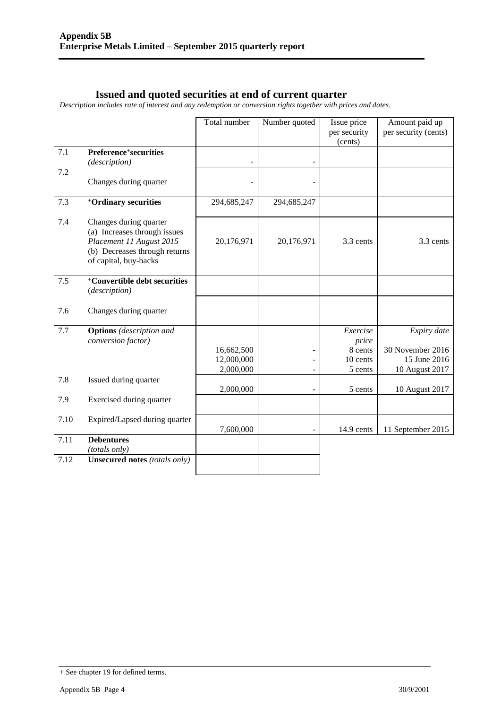#### **Issued and quoted securities at end of current quarter**

*Description includes rate of interest and any redemption or conversion rights together with prices and dates.*

|      |                                                                                                                                              | Total number             | Number quoted | Issue price             | Amount paid up                   |
|------|----------------------------------------------------------------------------------------------------------------------------------------------|--------------------------|---------------|-------------------------|----------------------------------|
|      |                                                                                                                                              |                          |               | per security<br>(cents) | per security (cents)             |
| 7.1  | Preference <sup>+</sup> securities<br>(description)                                                                                          |                          |               |                         |                                  |
| 7.2  |                                                                                                                                              |                          |               |                         |                                  |
|      | Changes during quarter                                                                                                                       |                          |               |                         |                                  |
| 7.3  | <sup>+</sup> Ordinary securities                                                                                                             | 294,685,247              | 294,685,247   |                         |                                  |
| 7.4  | Changes during quarter<br>(a) Increases through issues<br>Placement 11 August 2015<br>(b) Decreases through returns<br>of capital, buy-backs | 20,176,971               | 20,176,971    | 3.3 cents               | 3.3 cents                        |
| 7.5  | $\overline{+}$ Convertible debt securities<br>(description)                                                                                  |                          |               |                         |                                  |
| 7.6  | Changes during quarter                                                                                                                       |                          |               |                         |                                  |
| 7.7  | <b>Options</b> (description and<br>conversion factor)                                                                                        |                          |               | Exercise<br>price       | Expiry date                      |
|      |                                                                                                                                              | 16,662,500<br>12,000,000 |               | 8 cents<br>10 cents     | 30 November 2016<br>15 June 2016 |
|      |                                                                                                                                              | 2,000,000                |               | 5 cents                 | 10 August 2017                   |
| 7.8  | Issued during quarter                                                                                                                        |                          |               |                         |                                  |
|      |                                                                                                                                              | 2,000,000                | -             | 5 cents                 | 10 August 2017                   |
| 7.9  | Exercised during quarter                                                                                                                     |                          |               |                         |                                  |
| 7.10 | Expired/Lapsed during quarter                                                                                                                | 7,600,000                |               | 14.9 cents              | 11 September 2015                |
| 7.11 | <b>Debentures</b><br>(totals only)                                                                                                           |                          |               |                         |                                  |
| 7.12 | <b>Unsecured notes (totals only)</b>                                                                                                         |                          |               |                         |                                  |

<sup>+</sup> See chapter 19 for defined terms.